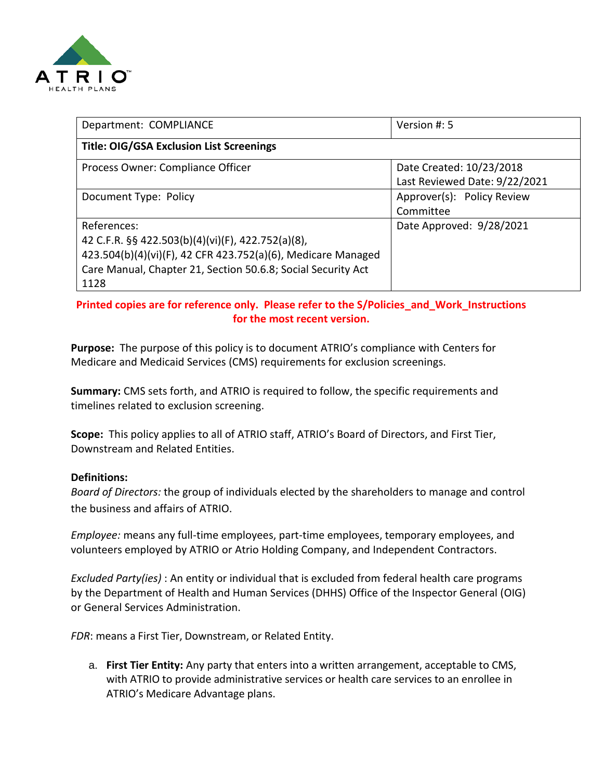

| Department: COMPLIANCE                                                                                                                                                                                   | Version #: 5                                              |
|----------------------------------------------------------------------------------------------------------------------------------------------------------------------------------------------------------|-----------------------------------------------------------|
| <b>Title: OIG/GSA Exclusion List Screenings</b>                                                                                                                                                          |                                                           |
| Process Owner: Compliance Officer                                                                                                                                                                        | Date Created: 10/23/2018<br>Last Reviewed Date: 9/22/2021 |
| Document Type: Policy                                                                                                                                                                                    | Approver(s): Policy Review<br>Committee                   |
| References:<br>42 C.F.R. §§ 422.503(b)(4)(vi)(F), 422.752(a)(8),<br>423.504(b)(4)(vi)(F), 42 CFR 423.752(a)(6), Medicare Managed<br>Care Manual, Chapter 21, Section 50.6.8; Social Security Act<br>1128 | Date Approved: 9/28/2021                                  |

## **Printed copies are for reference only. Please refer to the S/Policies\_and\_Work\_Instructions for the most recent version.**

**Purpose:** The purpose of this policy is to document ATRIO's compliance with Centers for Medicare and Medicaid Services (CMS) requirements for exclusion screenings.

**Summary:** CMS sets forth, and ATRIO is required to follow, the specific requirements and timelines related to exclusion screening.

**Scope:** This policy applies to all of ATRIO staff, ATRIO's Board of Directors, and First Tier, Downstream and Related Entities.

## **Definitions:**

*Board of Directors:* the group of individuals elected by the shareholders to manage and control the business and affairs of ATRIO.

*Employee:* means any full-time employees, part-time employees, temporary employees, and volunteers employed by ATRIO or Atrio Holding Company, and Independent Contractors.

*Excluded Party(ies)* : An entity or individual that is excluded from federal health care programs by the Department of Health and Human Services (DHHS) Office of the Inspector General (OIG) or General Services Administration.

*FDR*: means a First Tier, Downstream, or Related Entity.

a. **First Tier Entity:** Any party that enters into a written arrangement, acceptable to CMS, with ATRIO to provide administrative services or health care services to an enrollee in ATRIO's Medicare Advantage plans.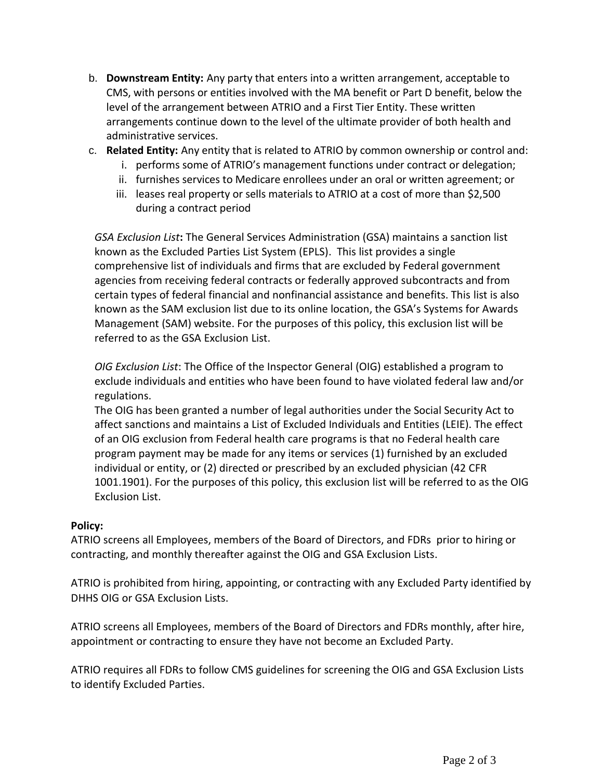- b. **Downstream Entity:** Any party that enters into a written arrangement, acceptable to CMS, with persons or entities involved with the MA benefit or Part D benefit, below the level of the arrangement between ATRIO and a First Tier Entity. These written arrangements continue down to the level of the ultimate provider of both health and administrative services.
- c. **Related Entity:** Any entity that is related to ATRIO by common ownership or control and:
	- i. performs some of ATRIO's management functions under contract or delegation;
	- ii. furnishes services to Medicare enrollees under an oral or written agreement; or
	- iii. leases real property or sells materials to ATRIO at a cost of more than \$2,500 during a contract period

*GSA Exclusion List***:** The General Services Administration (GSA) maintains a sanction list known as the Excluded Parties List System (EPLS). This list provides a single comprehensive list of individuals and firms that are excluded by Federal government agencies from receiving federal contracts or federally approved subcontracts and from certain types of federal financial and nonfinancial assistance and benefits. This list is also known as the SAM exclusion list due to its online location, the GSA's Systems for Awards Management (SAM) website. For the purposes of this policy, this exclusion list will be referred to as the GSA Exclusion List.

*OIG Exclusion List*: The Office of the Inspector General (OIG) established a program to exclude individuals and entities who have been found to have violated federal law and/or regulations.

The OIG has been granted a number of legal authorities under the Social Security Act to affect sanctions and maintains a List of Excluded Individuals and Entities (LEIE). The effect of an OIG exclusion from Federal health care programs is that no Federal health care program payment may be made for any items or services (1) furnished by an excluded individual or entity, or (2) directed or prescribed by an excluded physician (42 CFR 1001.1901). For the purposes of this policy, this exclusion list will be referred to as the OIG Exclusion List.

## **Policy:**

ATRIO screens all Employees, members of the Board of Directors, and FDRs prior to hiring or contracting, and monthly thereafter against the OIG and GSA Exclusion Lists.

ATRIO is prohibited from hiring, appointing, or contracting with any Excluded Party identified by DHHS OIG or GSA Exclusion Lists.

ATRIO screens all Employees, members of the Board of Directors and FDRs monthly, after hire, appointment or contracting to ensure they have not become an Excluded Party.

ATRIO requires all FDRs to follow CMS guidelines for screening the OIG and GSA Exclusion Lists to identify Excluded Parties.